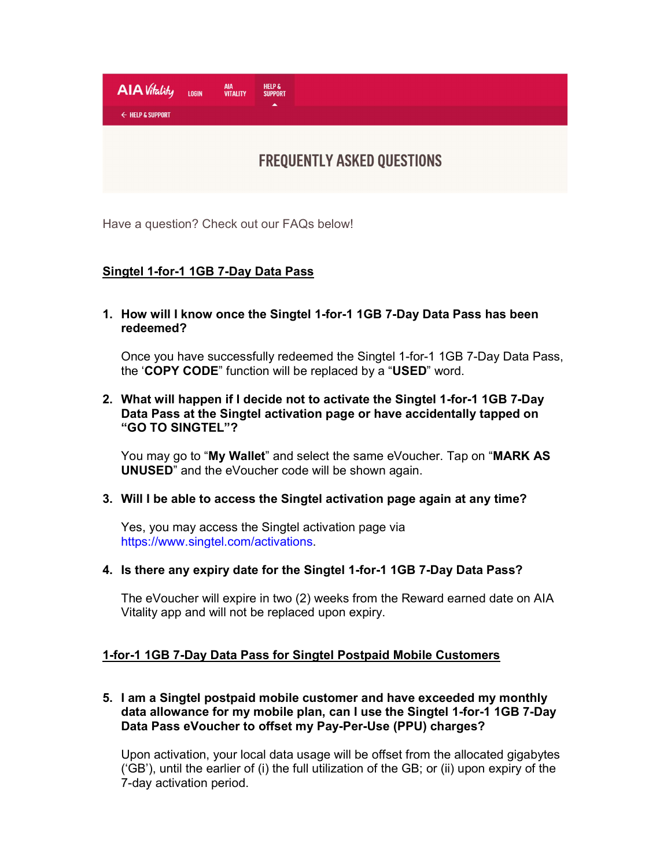

Have a question? Check out our FAQs below!

# Singtel 1-for-1 1GB 7-Day Data Pass

1. How will I know once the Singtel 1-for-1 1GB 7-Day Data Pass has been redeemed?

Once you have successfully redeemed the Singtel 1-for-1 1GB 7-Day Data Pass, the 'COPY CODE" function will be replaced by a "USED" word.

## 2. What will happen if I decide not to activate the Singtel 1-for-1 1GB 7-Day Data Pass at the Singtel activation page or have accidentally tapped on "GO TO SINGTEL"?

You may go to "My Wallet" and select the same eVoucher. Tap on "MARK AS UNUSED" and the eVoucher code will be shown again.

## 3. Will I be able to access the Singtel activation page again at any time?

Yes, you may access the Singtel activation page via https://www.singtel.com/activations.

#### 4. Is there any expiry date for the Singtel 1-for-1 1GB 7-Day Data Pass?

The eVoucher will expire in two (2) weeks from the Reward earned date on AIA Vitality app and will not be replaced upon expiry.

## 1-for-1 1GB 7-Day Data Pass for Singtel Postpaid Mobile Customers

# 5. I am a Singtel postpaid mobile customer and have exceeded my monthly data allowance for my mobile plan, can I use the Singtel 1-for-1 1GB 7-Day Data Pass eVoucher to offset my Pay-Per-Use (PPU) charges?

Upon activation, your local data usage will be offset from the allocated gigabytes ('GB'), until the earlier of (i) the full utilization of the GB; or (ii) upon expiry of the 7-day activation period.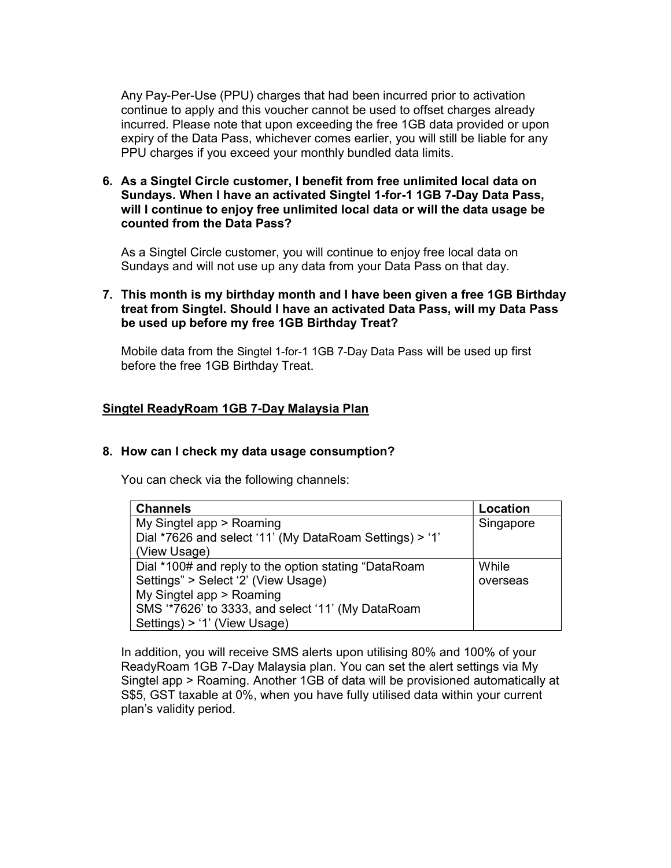Any Pay-Per-Use (PPU) charges that had been incurred prior to activation continue to apply and this voucher cannot be used to offset charges already incurred. Please note that upon exceeding the free 1GB data provided or upon expiry of the Data Pass, whichever comes earlier, you will still be liable for any PPU charges if you exceed your monthly bundled data limits.

6. As a Singtel Circle customer, I benefit from free unlimited local data on Sundays. When I have an activated Singtel 1-for-1 1GB 7-Day Data Pass, will I continue to enjoy free unlimited local data or will the data usage be counted from the Data Pass?

As a Singtel Circle customer, you will continue to enjoy free local data on Sundays and will not use up any data from your Data Pass on that day.

## 7. This month is my birthday month and I have been given a free 1GB Birthday treat from Singtel. Should I have an activated Data Pass, will my Data Pass be used up before my free 1GB Birthday Treat?

Mobile data from the Singtel 1-for-1 1GB 7-Day Data Pass will be used up first before the free 1GB Birthday Treat.

## Singtel ReadyRoam 1GB 7-Day Malaysia Plan

#### 8. How can I check my data usage consumption?

You can check via the following channels:

| <b>Channels</b>                                         | Location  |
|---------------------------------------------------------|-----------|
| My Singtel app > Roaming                                | Singapore |
| Dial *7626 and select '11' (My DataRoam Settings) > '1' |           |
| (View Usage)                                            |           |
| Dial *100# and reply to the option stating "DataRoam    | While     |
| Settings" > Select '2' (View Usage)                     | overseas  |
| My Singtel app > Roaming                                |           |
| SMS "7626' to 3333, and select '11' (My DataRoam        |           |
| Settings) > '1' (View Usage)                            |           |

In addition, you will receive SMS alerts upon utilising 80% and 100% of your ReadyRoam 1GB 7-Day Malaysia plan. You can set the alert settings via My Singtel app > Roaming. Another 1GB of data will be provisioned automatically at S\$5, GST taxable at 0%, when you have fully utilised data within your current plan's validity period.